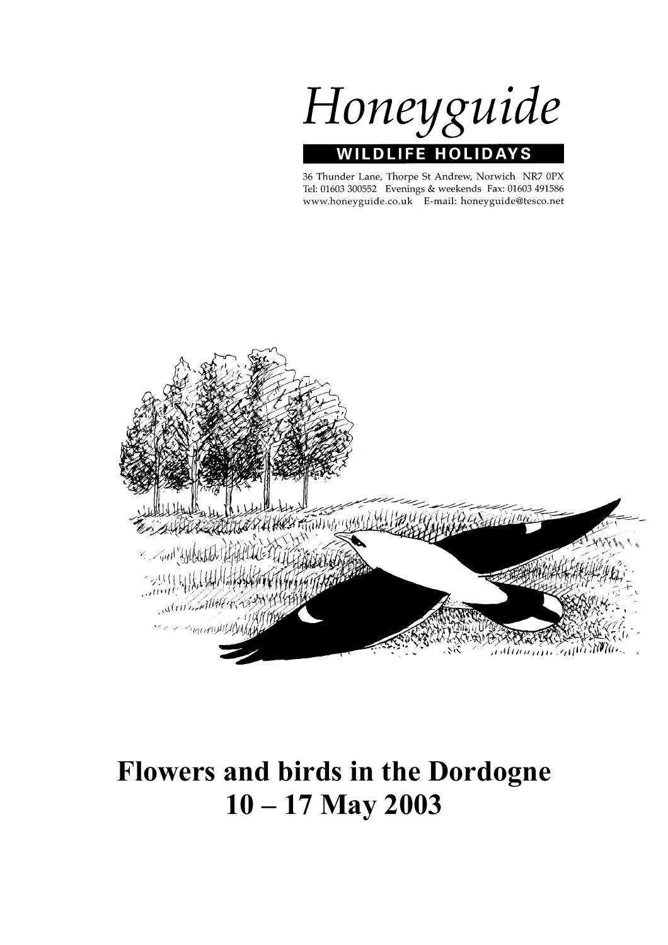Honeyguide **JFE HOLIDA WIL DI** 

36 Thunder Lane, Thorpe St Andrew, Norwich NR7 0PX Tel: 01603 300552 Evenings & weekends Fax: 01603 491586 www.honeyguide.co.uk E-mail: honeyguide@tesco.net



# **Flowers and birds in the Dordogne 10 – 17 May 2003**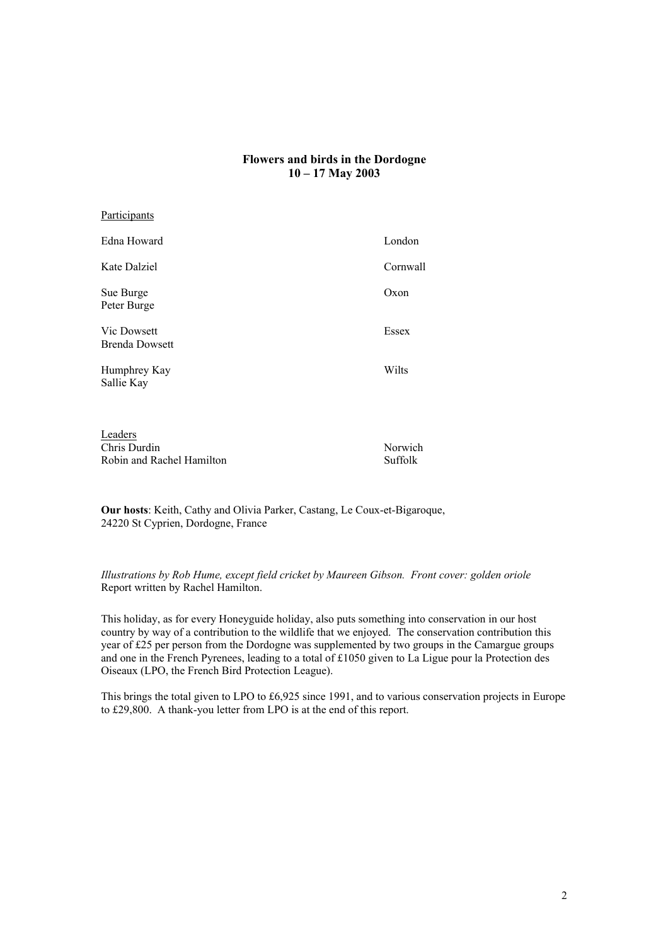# **Flowers and birds in the Dordogne 10 – 17 May 2003**

| <u>i articipants</u>                 |          |
|--------------------------------------|----------|
| Edna Howard                          | London   |
| Kate Dalziel                         | Cornwall |
| Sue Burge<br>Peter Burge             | Oxon     |
| Vic Dowsett<br><b>Brenda Dowsett</b> | Essex    |
| Humphrey Kay<br>Sallie Kay           | Wilts    |
|                                      |          |

Leaders Chris Durdin Norwich Robin and Rachel Hamilton Suffolk

Participants

**Our hosts**: Keith, Cathy and Olivia Parker, Castang, Le Coux-et-Bigaroque, 24220 St Cyprien, Dordogne, France

*Illustrations by Rob Hume, except field cricket by Maureen Gibson. Front cover: golden oriole* Report written by Rachel Hamilton.

This holiday, as for every Honeyguide holiday, also puts something into conservation in our host country by way of a contribution to the wildlife that we enjoyed. The conservation contribution this year of £25 per person from the Dordogne was supplemented by two groups in the Camargue groups and one in the French Pyrenees, leading to a total of £1050 given to La Ligue pour la Protection des Oiseaux (LPO, the French Bird Protection League).

This brings the total given to LPO to £6,925 since 1991, and to various conservation projects in Europe to £29,800. A thank-you letter from LPO is at the end of this report.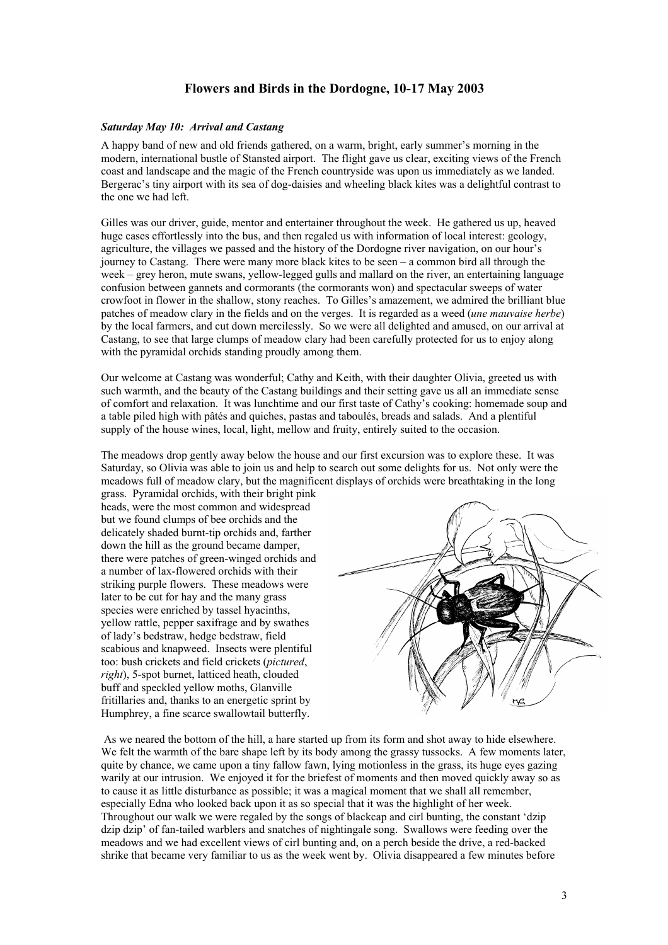# **Flowers and Birds in the Dordogne, 10-17 May 2003**

#### *Saturday May 10: Arrival and Castang*

A happy band of new and old friends gathered, on a warm, bright, early summer's morning in the modern, international bustle of Stansted airport. The flight gave us clear, exciting views of the French coast and landscape and the magic of the French countryside was upon us immediately as we landed. Bergerac's tiny airport with its sea of dog-daisies and wheeling black kites was a delightful contrast to the one we had left.

Gilles was our driver, guide, mentor and entertainer throughout the week. He gathered us up, heaved huge cases effortlessly into the bus, and then regaled us with information of local interest: geology, agriculture, the villages we passed and the history of the Dordogne river navigation, on our hour's journey to Castang. There were many more black kites to be seen – a common bird all through the week – grey heron, mute swans, yellow-legged gulls and mallard on the river, an entertaining language confusion between gannets and cormorants (the cormorants won) and spectacular sweeps of water crowfoot in flower in the shallow, stony reaches. To Gilles's amazement, we admired the brilliant blue patches of meadow clary in the fields and on the verges. It is regarded as a weed (*une mauvaise herbe*) by the local farmers, and cut down mercilessly. So we were all delighted and amused, on our arrival at Castang, to see that large clumps of meadow clary had been carefully protected for us to enjoy along with the pyramidal orchids standing proudly among them.

Our welcome at Castang was wonderful; Cathy and Keith, with their daughter Olivia, greeted us with such warmth, and the beauty of the Castang buildings and their setting gave us all an immediate sense of comfort and relaxation. It was lunchtime and our first taste of Cathy's cooking: homemade soup and a table piled high with pâtés and quiches, pastas and taboulés, breads and salads. And a plentiful supply of the house wines, local, light, mellow and fruity, entirely suited to the occasion.

The meadows drop gently away below the house and our first excursion was to explore these. It was Saturday, so Olivia was able to join us and help to search out some delights for us. Not only were the meadows full of meadow clary, but the magnificent displays of orchids were breathtaking in the long

grass. Pyramidal orchids, with their bright pink heads, were the most common and widespread but we found clumps of bee orchids and the delicately shaded burnt-tip orchids and, farther down the hill as the ground became damper, there were patches of green-winged orchids and a number of lax-flowered orchids with their striking purple flowers. These meadows were later to be cut for hay and the many grass species were enriched by tassel hyacinths, yellow rattle, pepper saxifrage and by swathes of lady's bedstraw, hedge bedstraw, field scabious and knapweed. Insects were plentiful too: bush crickets and field crickets (*pictured*, *right*), 5-spot burnet, latticed heath, clouded buff and speckled yellow moths, Glanville fritillaries and, thanks to an energetic sprint by Humphrey, a fine scarce swallowtail butterfly.



 As we neared the bottom of the hill, a hare started up from its form and shot away to hide elsewhere. We felt the warmth of the bare shape left by its body among the grassy tussocks. A few moments later, quite by chance, we came upon a tiny fallow fawn, lying motionless in the grass, its huge eyes gazing warily at our intrusion. We enjoyed it for the briefest of moments and then moved quickly away so as to cause it as little disturbance as possible; it was a magical moment that we shall all remember, especially Edna who looked back upon it as so special that it was the highlight of her week. Throughout our walk we were regaled by the songs of blackcap and cirl bunting, the constant 'dzip dzip dzip' of fan-tailed warblers and snatches of nightingale song. Swallows were feeding over the meadows and we had excellent views of cirl bunting and, on a perch beside the drive, a red-backed shrike that became very familiar to us as the week went by. Olivia disappeared a few minutes before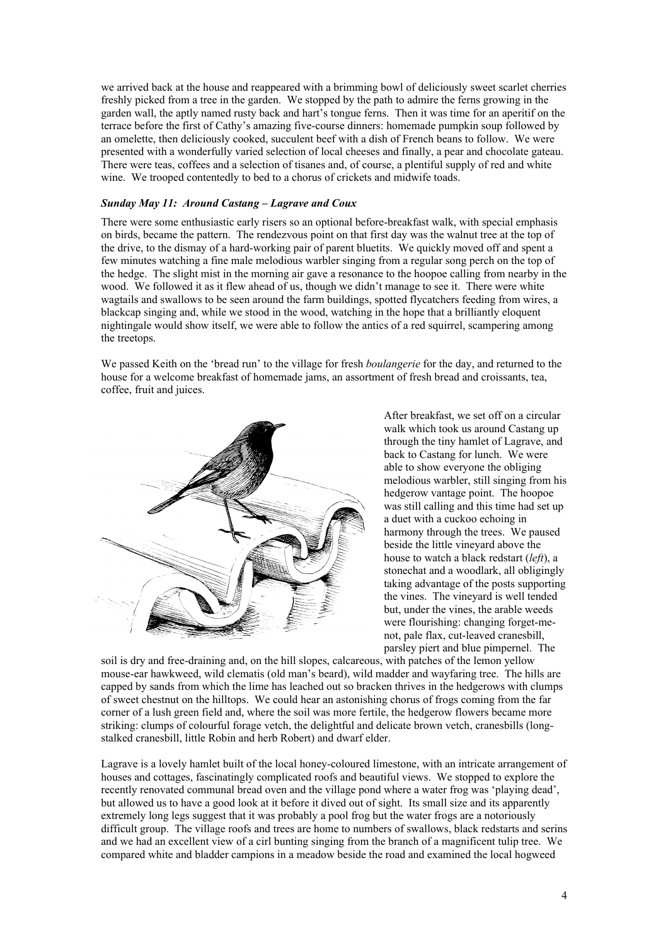we arrived back at the house and reappeared with a brimming bowl of deliciously sweet scarlet cherries freshly picked from a tree in the garden. We stopped by the path to admire the ferns growing in the garden wall, the aptly named rusty back and hart's tongue ferns. Then it was time for an aperitif on the terrace before the first of Cathy's amazing five-course dinners: homemade pumpkin soup followed by an omelette, then deliciously cooked, succulent beef with a dish of French beans to follow. We were presented with a wonderfully varied selection of local cheeses and finally, a pear and chocolate gateau. There were teas, coffees and a selection of tisanes and, of course, a plentiful supply of red and white wine. We trooped contentedly to bed to a chorus of crickets and midwife toads.

### *Sunday May 11: Around Castang – Lagrave and Coux*

There were some enthusiastic early risers so an optional before-breakfast walk, with special emphasis on birds, became the pattern. The rendezvous point on that first day was the walnut tree at the top of the drive, to the dismay of a hard-working pair of parent bluetits. We quickly moved off and spent a few minutes watching a fine male melodious warbler singing from a regular song perch on the top of the hedge. The slight mist in the morning air gave a resonance to the hoopoe calling from nearby in the wood. We followed it as it flew ahead of us, though we didn't manage to see it. There were white wagtails and swallows to be seen around the farm buildings, spotted flycatchers feeding from wires, a blackcap singing and, while we stood in the wood, watching in the hope that a brilliantly eloquent nightingale would show itself, we were able to follow the antics of a red squirrel, scampering among the treetops.

We passed Keith on the 'bread run' to the village for fresh *boulangerie* for the day, and returned to the house for a welcome breakfast of homemade jams, an assortment of fresh bread and croissants, tea, coffee, fruit and juices.



After breakfast, we set off on a circular walk which took us around Castang up through the tiny hamlet of Lagrave, and back to Castang for lunch. We were able to show everyone the obliging melodious warbler, still singing from his hedgerow vantage point. The hoopoe was still calling and this time had set up a duet with a cuckoo echoing in harmony through the trees. We paused beside the little vineyard above the house to watch a black redstart (*left*), a stonechat and a woodlark, all obligingly taking advantage of the posts supporting the vines. The vineyard is well tended but, under the vines, the arable weeds were flourishing: changing forget-menot, pale flax, cut-leaved cranesbill, parsley piert and blue pimpernel. The

soil is dry and free-draining and, on the hill slopes, calcareous, with patches of the lemon yellow mouse-ear hawkweed, wild clematis (old man's beard), wild madder and wayfaring tree. The hills are capped by sands from which the lime has leached out so bracken thrives in the hedgerows with clumps of sweet chestnut on the hilltops. We could hear an astonishing chorus of frogs coming from the far corner of a lush green field and, where the soil was more fertile, the hedgerow flowers became more striking: clumps of colourful forage vetch, the delightful and delicate brown vetch, cranesbills (longstalked cranesbill, little Robin and herb Robert) and dwarf elder.

Lagrave is a lovely hamlet built of the local honey-coloured limestone, with an intricate arrangement of houses and cottages, fascinatingly complicated roofs and beautiful views. We stopped to explore the recently renovated communal bread oven and the village pond where a water frog was 'playing dead', but allowed us to have a good look at it before it dived out of sight. Its small size and its apparently extremely long legs suggest that it was probably a pool frog but the water frogs are a notoriously difficult group. The village roofs and trees are home to numbers of swallows, black redstarts and serins and we had an excellent view of a cirl bunting singing from the branch of a magnificent tulip tree. We compared white and bladder campions in a meadow beside the road and examined the local hogweed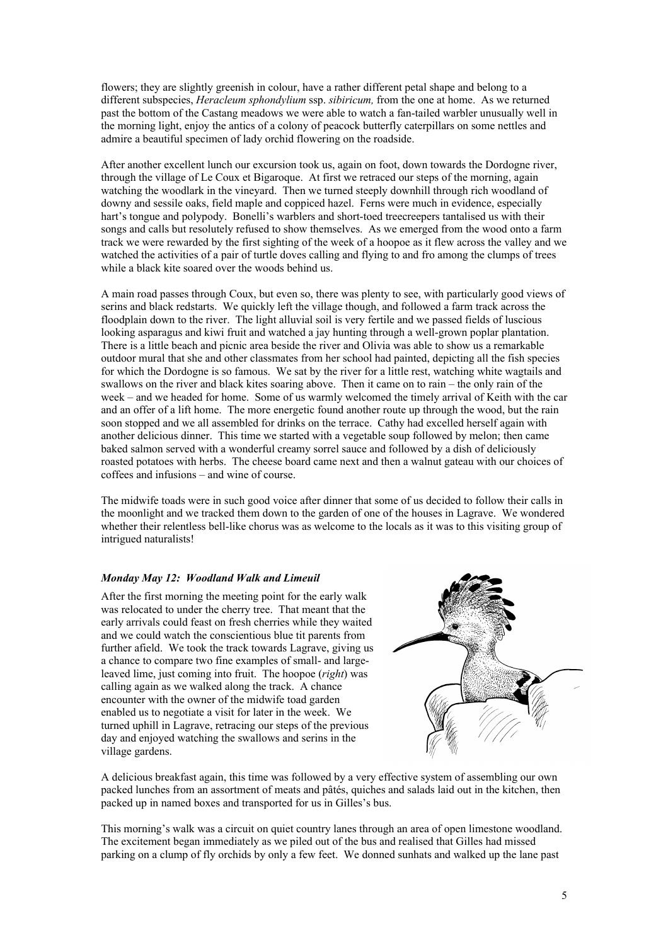flowers; they are slightly greenish in colour, have a rather different petal shape and belong to a different subspecies, *Heracleum sphondylium* ssp. *sibiricum,* from the one at home. As we returned past the bottom of the Castang meadows we were able to watch a fan-tailed warbler unusually well in the morning light, enjoy the antics of a colony of peacock butterfly caterpillars on some nettles and admire a beautiful specimen of lady orchid flowering on the roadside.

After another excellent lunch our excursion took us, again on foot, down towards the Dordogne river, through the village of Le Coux et Bigaroque. At first we retraced our steps of the morning, again watching the woodlark in the vineyard. Then we turned steeply downhill through rich woodland of downy and sessile oaks, field maple and coppiced hazel. Ferns were much in evidence, especially hart's tongue and polypody. Bonelli's warblers and short-toed treecreepers tantalised us with their songs and calls but resolutely refused to show themselves. As we emerged from the wood onto a farm track we were rewarded by the first sighting of the week of a hoopoe as it flew across the valley and we watched the activities of a pair of turtle doves calling and flying to and fro among the clumps of trees while a black kite soared over the woods behind us.

A main road passes through Coux, but even so, there was plenty to see, with particularly good views of serins and black redstarts. We quickly left the village though, and followed a farm track across the floodplain down to the river. The light alluvial soil is very fertile and we passed fields of luscious looking asparagus and kiwi fruit and watched a jay hunting through a well-grown poplar plantation. There is a little beach and picnic area beside the river and Olivia was able to show us a remarkable outdoor mural that she and other classmates from her school had painted, depicting all the fish species for which the Dordogne is so famous. We sat by the river for a little rest, watching white wagtails and swallows on the river and black kites soaring above. Then it came on to rain – the only rain of the week – and we headed for home. Some of us warmly welcomed the timely arrival of Keith with the car and an offer of a lift home. The more energetic found another route up through the wood, but the rain soon stopped and we all assembled for drinks on the terrace. Cathy had excelled herself again with another delicious dinner. This time we started with a vegetable soup followed by melon; then came baked salmon served with a wonderful creamy sorrel sauce and followed by a dish of deliciously roasted potatoes with herbs. The cheese board came next and then a walnut gateau with our choices of coffees and infusions – and wine of course.

The midwife toads were in such good voice after dinner that some of us decided to follow their calls in the moonlight and we tracked them down to the garden of one of the houses in Lagrave. We wondered whether their relentless bell-like chorus was as welcome to the locals as it was to this visiting group of intrigued naturalists!

# *Monday May 12: Woodland Walk and Limeuil*

After the first morning the meeting point for the early walk was relocated to under the cherry tree. That meant that the early arrivals could feast on fresh cherries while they waited and we could watch the conscientious blue tit parents from further afield. We took the track towards Lagrave, giving us a chance to compare two fine examples of small- and largeleaved lime, just coming into fruit. The hoopoe (*right*) was calling again as we walked along the track. A chance encounter with the owner of the midwife toad garden enabled us to negotiate a visit for later in the week. We turned uphill in Lagrave, retracing our steps of the previous day and enjoyed watching the swallows and serins in the village gardens.



A delicious breakfast again, this time was followed by a very effective system of assembling our own packed lunches from an assortment of meats and pâtés, quiches and salads laid out in the kitchen, then packed up in named boxes and transported for us in Gilles's bus.

This morning's walk was a circuit on quiet country lanes through an area of open limestone woodland. The excitement began immediately as we piled out of the bus and realised that Gilles had missed parking on a clump of fly orchids by only a few feet. We donned sunhats and walked up the lane past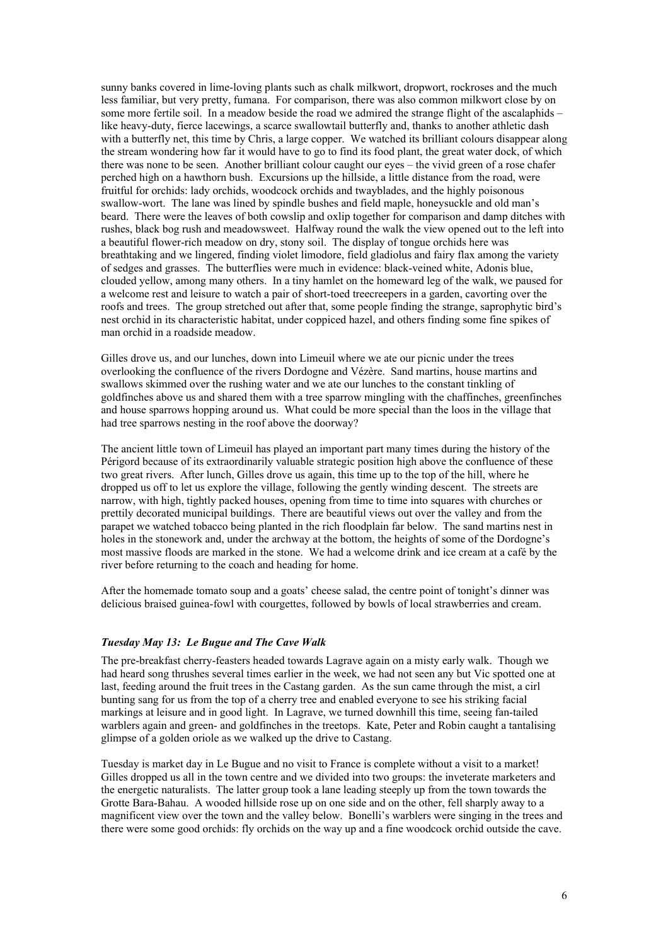sunny banks covered in lime-loving plants such as chalk milkwort, dropwort, rockroses and the much less familiar, but very pretty, fumana. For comparison, there was also common milkwort close by on some more fertile soil. In a meadow beside the road we admired the strange flight of the ascalaphids – like heavy-duty, fierce lacewings, a scarce swallowtail butterfly and, thanks to another athletic dash with a butterfly net, this time by Chris, a large copper. We watched its brilliant colours disappear along the stream wondering how far it would have to go to find its food plant, the great water dock, of which there was none to be seen. Another brilliant colour caught our eyes – the vivid green of a rose chafer perched high on a hawthorn bush. Excursions up the hillside, a little distance from the road, were fruitful for orchids: lady orchids, woodcock orchids and twayblades, and the highly poisonous swallow-wort. The lane was lined by spindle bushes and field maple, honeysuckle and old man's beard. There were the leaves of both cowslip and oxlip together for comparison and damp ditches with rushes, black bog rush and meadowsweet. Halfway round the walk the view opened out to the left into a beautiful flower-rich meadow on dry, stony soil. The display of tongue orchids here was breathtaking and we lingered, finding violet limodore, field gladiolus and fairy flax among the variety of sedges and grasses. The butterflies were much in evidence: black-veined white, Adonis blue, clouded yellow, among many others. In a tiny hamlet on the homeward leg of the walk, we paused for a welcome rest and leisure to watch a pair of short-toed treecreepers in a garden, cavorting over the roofs and trees. The group stretched out after that, some people finding the strange, saprophytic bird's nest orchid in its characteristic habitat, under coppiced hazel, and others finding some fine spikes of man orchid in a roadside meadow.

Gilles drove us, and our lunches, down into Limeuil where we ate our picnic under the trees overlooking the confluence of the rivers Dordogne and Vézère. Sand martins, house martins and swallows skimmed over the rushing water and we ate our lunches to the constant tinkling of goldfinches above us and shared them with a tree sparrow mingling with the chaffinches, greenfinches and house sparrows hopping around us. What could be more special than the loos in the village that had tree sparrows nesting in the roof above the doorway?

The ancient little town of Limeuil has played an important part many times during the history of the Périgord because of its extraordinarily valuable strategic position high above the confluence of these two great rivers. After lunch, Gilles drove us again, this time up to the top of the hill, where he dropped us off to let us explore the village, following the gently winding descent. The streets are narrow, with high, tightly packed houses, opening from time to time into squares with churches or prettily decorated municipal buildings. There are beautiful views out over the valley and from the parapet we watched tobacco being planted in the rich floodplain far below. The sand martins nest in holes in the stonework and, under the archway at the bottom, the heights of some of the Dordogne's most massive floods are marked in the stone. We had a welcome drink and ice cream at a café by the river before returning to the coach and heading for home.

After the homemade tomato soup and a goats' cheese salad, the centre point of tonight's dinner was delicious braised guinea-fowl with courgettes, followed by bowls of local strawberries and cream.

#### *Tuesday May 13: Le Bugue and The Cave Walk*

The pre-breakfast cherry-feasters headed towards Lagrave again on a misty early walk. Though we had heard song thrushes several times earlier in the week, we had not seen any but Vic spotted one at last, feeding around the fruit trees in the Castang garden. As the sun came through the mist, a cirl bunting sang for us from the top of a cherry tree and enabled everyone to see his striking facial markings at leisure and in good light. In Lagrave, we turned downhill this time, seeing fan-tailed warblers again and green- and goldfinches in the treetops. Kate, Peter and Robin caught a tantalising glimpse of a golden oriole as we walked up the drive to Castang.

Tuesday is market day in Le Bugue and no visit to France is complete without a visit to a market! Gilles dropped us all in the town centre and we divided into two groups: the inveterate marketers and the energetic naturalists. The latter group took a lane leading steeply up from the town towards the Grotte Bara-Bahau. A wooded hillside rose up on one side and on the other, fell sharply away to a magnificent view over the town and the valley below. Bonelli's warblers were singing in the trees and there were some good orchids: fly orchids on the way up and a fine woodcock orchid outside the cave.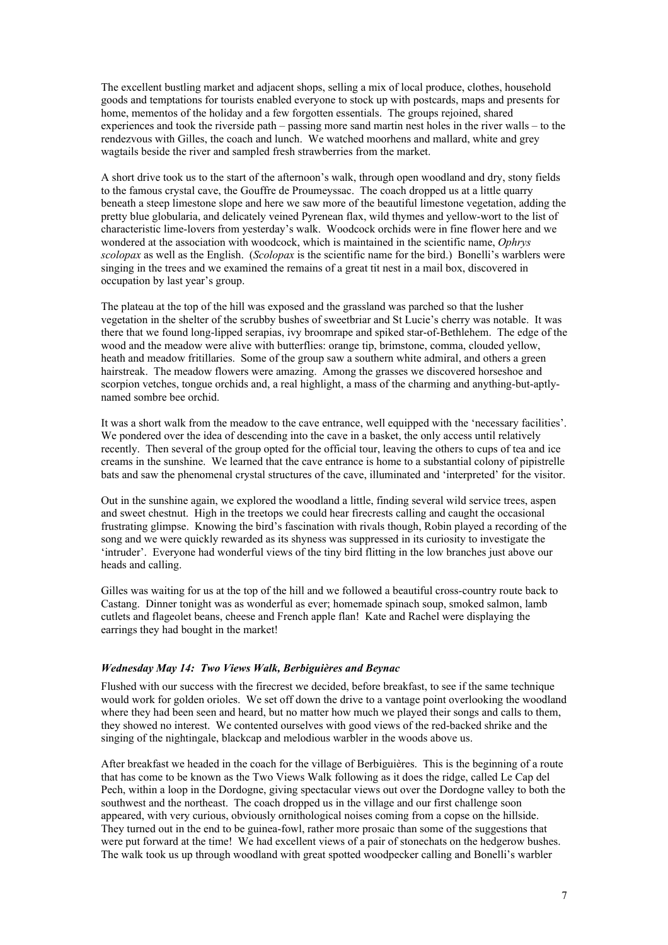The excellent bustling market and adjacent shops, selling a mix of local produce, clothes, household goods and temptations for tourists enabled everyone to stock up with postcards, maps and presents for home, mementos of the holiday and a few forgotten essentials. The groups rejoined, shared experiences and took the riverside path – passing more sand martin nest holes in the river walls – to the rendezvous with Gilles, the coach and lunch. We watched moorhens and mallard, white and grey wagtails beside the river and sampled fresh strawberries from the market.

A short drive took us to the start of the afternoon's walk, through open woodland and dry, stony fields to the famous crystal cave, the Gouffre de Proumeyssac. The coach dropped us at a little quarry beneath a steep limestone slope and here we saw more of the beautiful limestone vegetation, adding the pretty blue globularia, and delicately veined Pyrenean flax, wild thymes and yellow-wort to the list of characteristic lime-lovers from yesterday's walk. Woodcock orchids were in fine flower here and we wondered at the association with woodcock, which is maintained in the scientific name, *Ophrys scolopax* as well as the English. (*Scolopax* is the scientific name for the bird.) Bonelli's warblers were singing in the trees and we examined the remains of a great tit nest in a mail box, discovered in occupation by last year's group.

The plateau at the top of the hill was exposed and the grassland was parched so that the lusher vegetation in the shelter of the scrubby bushes of sweetbriar and St Lucie's cherry was notable. It was there that we found long-lipped serapias, ivy broomrape and spiked star-of-Bethlehem. The edge of the wood and the meadow were alive with butterflies: orange tip, brimstone, comma, clouded yellow, heath and meadow fritillaries. Some of the group saw a southern white admiral, and others a green hairstreak. The meadow flowers were amazing. Among the grasses we discovered horseshoe and scorpion vetches, tongue orchids and, a real highlight, a mass of the charming and anything-but-aptlynamed sombre bee orchid.

It was a short walk from the meadow to the cave entrance, well equipped with the 'necessary facilities'. We pondered over the idea of descending into the cave in a basket, the only access until relatively recently. Then several of the group opted for the official tour, leaving the others to cups of tea and ice creams in the sunshine. We learned that the cave entrance is home to a substantial colony of pipistrelle bats and saw the phenomenal crystal structures of the cave, illuminated and 'interpreted' for the visitor.

Out in the sunshine again, we explored the woodland a little, finding several wild service trees, aspen and sweet chestnut. High in the treetops we could hear firecrests calling and caught the occasional frustrating glimpse. Knowing the bird's fascination with rivals though, Robin played a recording of the song and we were quickly rewarded as its shyness was suppressed in its curiosity to investigate the 'intruder'. Everyone had wonderful views of the tiny bird flitting in the low branches just above our heads and calling.

Gilles was waiting for us at the top of the hill and we followed a beautiful cross-country route back to Castang. Dinner tonight was as wonderful as ever; homemade spinach soup, smoked salmon, lamb cutlets and flageolet beans, cheese and French apple flan! Kate and Rachel were displaying the earrings they had bought in the market!

#### *Wednesday May 14: Two Views Walk, Berbiguières and Beynac*

Flushed with our success with the firecrest we decided, before breakfast, to see if the same technique would work for golden orioles. We set off down the drive to a vantage point overlooking the woodland where they had been seen and heard, but no matter how much we played their songs and calls to them, they showed no interest. We contented ourselves with good views of the red-backed shrike and the singing of the nightingale, blackcap and melodious warbler in the woods above us.

After breakfast we headed in the coach for the village of Berbiguières. This is the beginning of a route that has come to be known as the Two Views Walk following as it does the ridge, called Le Cap del Pech, within a loop in the Dordogne, giving spectacular views out over the Dordogne valley to both the southwest and the northeast. The coach dropped us in the village and our first challenge soon appeared, with very curious, obviously ornithological noises coming from a copse on the hillside. They turned out in the end to be guinea-fowl, rather more prosaic than some of the suggestions that were put forward at the time! We had excellent views of a pair of stonechats on the hedgerow bushes. The walk took us up through woodland with great spotted woodpecker calling and Bonelli's warbler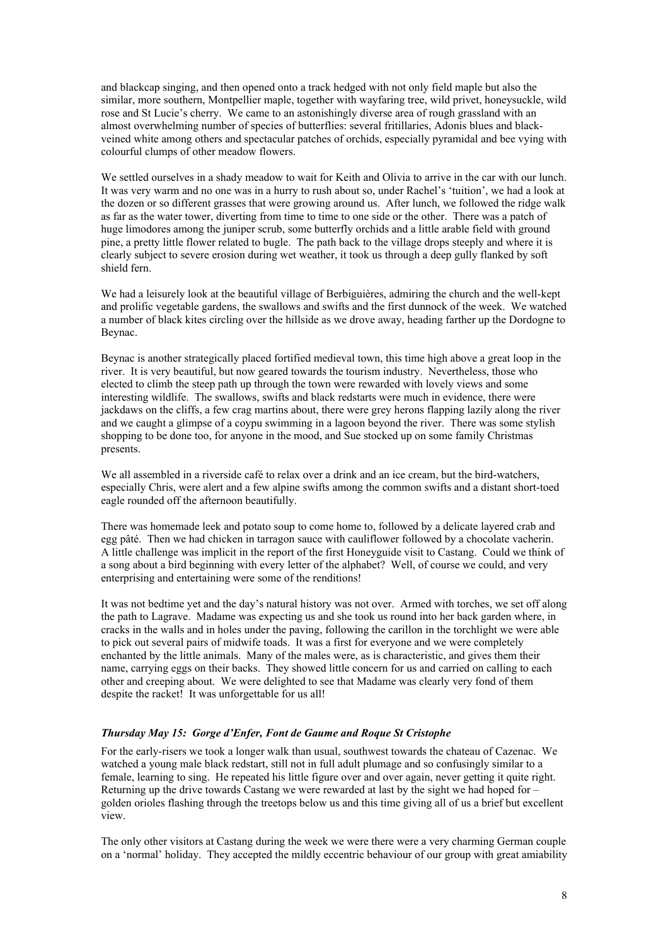and blackcap singing, and then opened onto a track hedged with not only field maple but also the similar, more southern, Montpellier maple, together with wayfaring tree, wild privet, honeysuckle, wild rose and St Lucie's cherry. We came to an astonishingly diverse area of rough grassland with an almost overwhelming number of species of butterflies: several fritillaries, Adonis blues and blackveined white among others and spectacular patches of orchids, especially pyramidal and bee vying with colourful clumps of other meadow flowers.

We settled ourselves in a shady meadow to wait for Keith and Olivia to arrive in the car with our lunch. It was very warm and no one was in a hurry to rush about so, under Rachel's 'tuition', we had a look at the dozen or so different grasses that were growing around us. After lunch, we followed the ridge walk as far as the water tower, diverting from time to time to one side or the other. There was a patch of huge limodores among the juniper scrub, some butterfly orchids and a little arable field with ground pine, a pretty little flower related to bugle. The path back to the village drops steeply and where it is clearly subject to severe erosion during wet weather, it took us through a deep gully flanked by soft shield fern.

We had a leisurely look at the beautiful village of Berbiguières, admiring the church and the well-kept and prolific vegetable gardens, the swallows and swifts and the first dunnock of the week. We watched a number of black kites circling over the hillside as we drove away, heading farther up the Dordogne to Beynac.

Beynac is another strategically placed fortified medieval town, this time high above a great loop in the river. It is very beautiful, but now geared towards the tourism industry. Nevertheless, those who elected to climb the steep path up through the town were rewarded with lovely views and some interesting wildlife. The swallows, swifts and black redstarts were much in evidence, there were jackdaws on the cliffs, a few crag martins about, there were grey herons flapping lazily along the river and we caught a glimpse of a coypu swimming in a lagoon beyond the river. There was some stylish shopping to be done too, for anyone in the mood, and Sue stocked up on some family Christmas presents.

We all assembled in a riverside café to relax over a drink and an ice cream, but the bird-watchers, especially Chris, were alert and a few alpine swifts among the common swifts and a distant short-toed eagle rounded off the afternoon beautifully.

There was homemade leek and potato soup to come home to, followed by a delicate layered crab and egg pâté. Then we had chicken in tarragon sauce with cauliflower followed by a chocolate vacherin. A little challenge was implicit in the report of the first Honeyguide visit to Castang. Could we think of a song about a bird beginning with every letter of the alphabet? Well, of course we could, and very enterprising and entertaining were some of the renditions!

It was not bedtime yet and the day's natural history was not over. Armed with torches, we set off along the path to Lagrave. Madame was expecting us and she took us round into her back garden where, in cracks in the walls and in holes under the paving, following the carillon in the torchlight we were able to pick out several pairs of midwife toads. It was a first for everyone and we were completely enchanted by the little animals. Many of the males were, as is characteristic, and gives them their name, carrying eggs on their backs. They showed little concern for us and carried on calling to each other and creeping about. We were delighted to see that Madame was clearly very fond of them despite the racket! It was unforgettable for us all!

### *Thursday May 15: Gorge d'Enfer, Font de Gaume and Roque St Cristophe*

For the early-risers we took a longer walk than usual, southwest towards the chateau of Cazenac. We watched a young male black redstart, still not in full adult plumage and so confusingly similar to a female, learning to sing. He repeated his little figure over and over again, never getting it quite right. Returning up the drive towards Castang we were rewarded at last by the sight we had hoped for – golden orioles flashing through the treetops below us and this time giving all of us a brief but excellent view.

The only other visitors at Castang during the week we were there were a very charming German couple on a 'normal' holiday. They accepted the mildly eccentric behaviour of our group with great amiability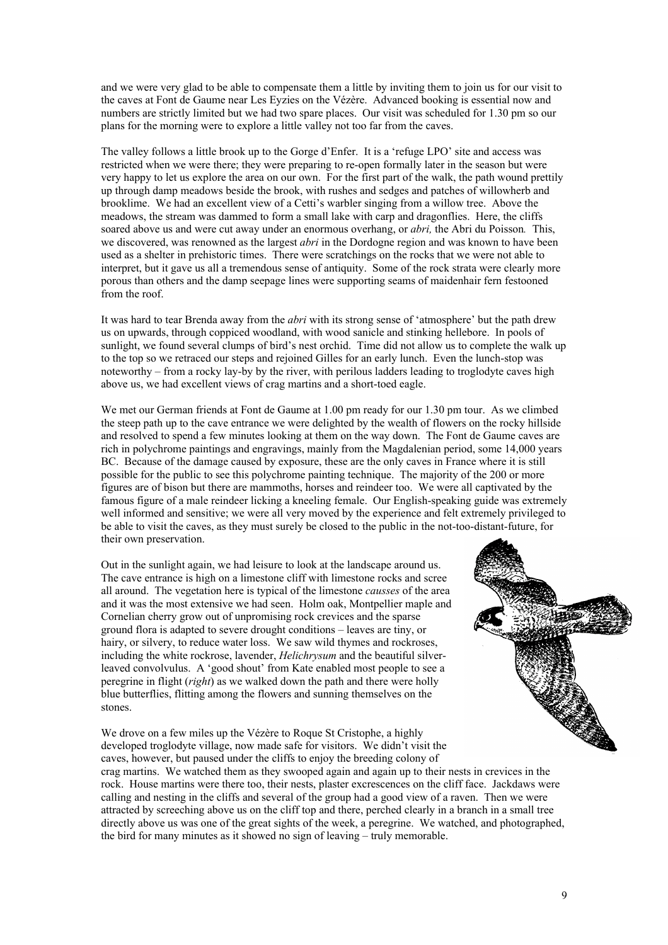and we were very glad to be able to compensate them a little by inviting them to join us for our visit to the caves at Font de Gaume near Les Eyzies on the Vézère. Advanced booking is essential now and numbers are strictly limited but we had two spare places. Our visit was scheduled for 1.30 pm so our plans for the morning were to explore a little valley not too far from the caves.

The valley follows a little brook up to the Gorge d'Enfer. It is a 'refuge LPO' site and access was restricted when we were there; they were preparing to re-open formally later in the season but were very happy to let us explore the area on our own. For the first part of the walk, the path wound prettily up through damp meadows beside the brook, with rushes and sedges and patches of willowherb and brooklime. We had an excellent view of a Cetti's warbler singing from a willow tree. Above the meadows, the stream was dammed to form a small lake with carp and dragonflies. Here, the cliffs soared above us and were cut away under an enormous overhang, or *abri,* the Abri du Poisson*.* This, we discovered, was renowned as the largest *abri* in the Dordogne region and was known to have been used as a shelter in prehistoric times. There were scratchings on the rocks that we were not able to interpret, but it gave us all a tremendous sense of antiquity. Some of the rock strata were clearly more porous than others and the damp seepage lines were supporting seams of maidenhair fern festooned from the roof.

It was hard to tear Brenda away from the *abri* with its strong sense of 'atmosphere' but the path drew us on upwards, through coppiced woodland, with wood sanicle and stinking hellebore. In pools of sunlight, we found several clumps of bird's nest orchid. Time did not allow us to complete the walk up to the top so we retraced our steps and rejoined Gilles for an early lunch. Even the lunch-stop was noteworthy – from a rocky lay-by by the river, with perilous ladders leading to troglodyte caves high above us, we had excellent views of crag martins and a short-toed eagle.

We met our German friends at Font de Gaume at 1.00 pm ready for our 1.30 pm tour. As we climbed the steep path up to the cave entrance we were delighted by the wealth of flowers on the rocky hillside and resolved to spend a few minutes looking at them on the way down. The Font de Gaume caves are rich in polychrome paintings and engravings, mainly from the Magdalenian period, some 14,000 years BC. Because of the damage caused by exposure, these are the only caves in France where it is still possible for the public to see this polychrome painting technique. The majority of the 200 or more figures are of bison but there are mammoths, horses and reindeer too. We were all captivated by the famous figure of a male reindeer licking a kneeling female. Our English-speaking guide was extremely well informed and sensitive; we were all very moved by the experience and felt extremely privileged to be able to visit the caves, as they must surely be closed to the public in the not-too-distant-future, for their own preservation.

Out in the sunlight again, we had leisure to look at the landscape around us. The cave entrance is high on a limestone cliff with limestone rocks and scree all around. The vegetation here is typical of the limestone *causses* of the area and it was the most extensive we had seen. Holm oak, Montpellier maple and Cornelian cherry grow out of unpromising rock crevices and the sparse ground flora is adapted to severe drought conditions – leaves are tiny, or hairy, or silvery, to reduce water loss. We saw wild thymes and rockroses, including the white rockrose, lavender, *Helichrysum* and the beautiful silverleaved convolvulus. A 'good shout' from Kate enabled most people to see a peregrine in flight (*right*) as we walked down the path and there were holly blue butterflies, flitting among the flowers and sunning themselves on the stones.

We drove on a few miles up the Vézère to Roque St Cristophe, a highly developed troglodyte village, now made safe for visitors. We didn't visit the caves, however, but paused under the cliffs to enjoy the breeding colony of crag martins. We watched them as they swooped again and again up to their nests in crevices in the rock. House martins were there too, their nests, plaster excrescences on the cliff face. Jackdaws were calling and nesting in the cliffs and several of the group had a good view of a raven. Then we were attracted by screeching above us on the cliff top and there, perched clearly in a branch in a small tree directly above us was one of the great sights of the week, a peregrine. We watched, and photographed, the bird for many minutes as it showed no sign of leaving – truly memorable.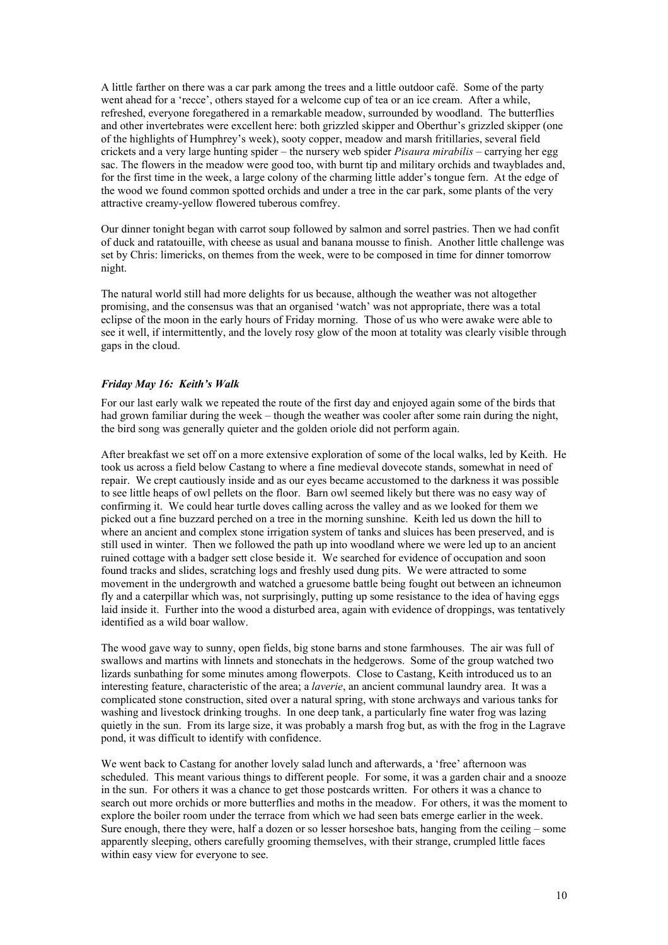A little farther on there was a car park among the trees and a little outdoor café. Some of the party went ahead for a 'recce', others stayed for a welcome cup of tea or an ice cream. After a while, refreshed, everyone foregathered in a remarkable meadow, surrounded by woodland. The butterflies and other invertebrates were excellent here: both grizzled skipper and Oberthur's grizzled skipper (one of the highlights of Humphrey's week), sooty copper, meadow and marsh fritillaries, several field crickets and a very large hunting spider – the nursery web spider *Pisaura mirabilis* – carrying her egg sac. The flowers in the meadow were good too, with burnt tip and military orchids and twayblades and, for the first time in the week, a large colony of the charming little adder's tongue fern. At the edge of the wood we found common spotted orchids and under a tree in the car park, some plants of the very attractive creamy-yellow flowered tuberous comfrey.

Our dinner tonight began with carrot soup followed by salmon and sorrel pastries. Then we had confit of duck and ratatouille, with cheese as usual and banana mousse to finish. Another little challenge was set by Chris: limericks, on themes from the week, were to be composed in time for dinner tomorrow night.

The natural world still had more delights for us because, although the weather was not altogether promising, and the consensus was that an organised 'watch' was not appropriate, there was a total eclipse of the moon in the early hours of Friday morning. Those of us who were awake were able to see it well, if intermittently, and the lovely rosy glow of the moon at totality was clearly visible through gaps in the cloud.

# *Friday May 16: Keith's Walk*

For our last early walk we repeated the route of the first day and enjoyed again some of the birds that had grown familiar during the week – though the weather was cooler after some rain during the night. the bird song was generally quieter and the golden oriole did not perform again.

After breakfast we set off on a more extensive exploration of some of the local walks, led by Keith. He took us across a field below Castang to where a fine medieval dovecote stands, somewhat in need of repair. We crept cautiously inside and as our eyes became accustomed to the darkness it was possible to see little heaps of owl pellets on the floor. Barn owl seemed likely but there was no easy way of confirming it. We could hear turtle doves calling across the valley and as we looked for them we picked out a fine buzzard perched on a tree in the morning sunshine. Keith led us down the hill to where an ancient and complex stone irrigation system of tanks and sluices has been preserved, and is still used in winter. Then we followed the path up into woodland where we were led up to an ancient ruined cottage with a badger sett close beside it. We searched for evidence of occupation and soon found tracks and slides, scratching logs and freshly used dung pits. We were attracted to some movement in the undergrowth and watched a gruesome battle being fought out between an ichneumon fly and a caterpillar which was, not surprisingly, putting up some resistance to the idea of having eggs laid inside it. Further into the wood a disturbed area, again with evidence of droppings, was tentatively identified as a wild boar wallow.

The wood gave way to sunny, open fields, big stone barns and stone farmhouses. The air was full of swallows and martins with linnets and stonechats in the hedgerows. Some of the group watched two lizards sunbathing for some minutes among flowerpots. Close to Castang, Keith introduced us to an interesting feature, characteristic of the area; a *laverie*, an ancient communal laundry area. It was a complicated stone construction, sited over a natural spring, with stone archways and various tanks for washing and livestock drinking troughs. In one deep tank, a particularly fine water frog was lazing quietly in the sun. From its large size, it was probably a marsh frog but, as with the frog in the Lagrave pond, it was difficult to identify with confidence.

We went back to Castang for another lovely salad lunch and afterwards, a 'free' afternoon was scheduled. This meant various things to different people. For some, it was a garden chair and a snooze in the sun. For others it was a chance to get those postcards written. For others it was a chance to search out more orchids or more butterflies and moths in the meadow. For others, it was the moment to explore the boiler room under the terrace from which we had seen bats emerge earlier in the week. Sure enough, there they were, half a dozen or so lesser horseshoe bats, hanging from the ceiling – some apparently sleeping, others carefully grooming themselves, with their strange, crumpled little faces within easy view for everyone to see.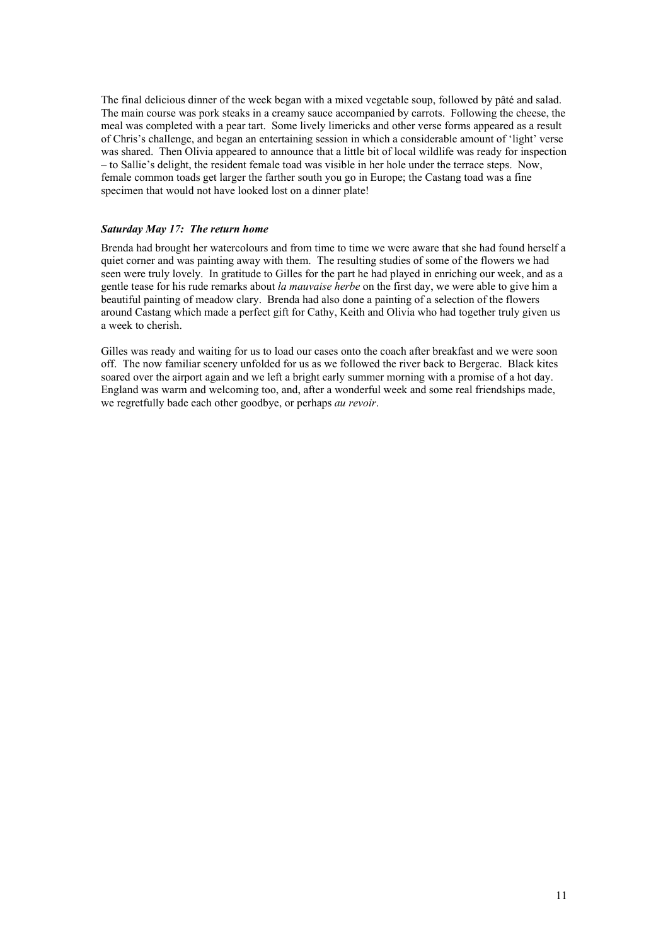The final delicious dinner of the week began with a mixed vegetable soup, followed by pâté and salad. The main course was pork steaks in a creamy sauce accompanied by carrots. Following the cheese, the meal was completed with a pear tart. Some lively limericks and other verse forms appeared as a result of Chris's challenge, and began an entertaining session in which a considerable amount of 'light' verse was shared. Then Olivia appeared to announce that a little bit of local wildlife was ready for inspection – to Sallie's delight, the resident female toad was visible in her hole under the terrace steps. Now, female common toads get larger the farther south you go in Europe; the Castang toad was a fine specimen that would not have looked lost on a dinner plate!

## *Saturday May 17: The return home*

Brenda had brought her watercolours and from time to time we were aware that she had found herself a quiet corner and was painting away with them. The resulting studies of some of the flowers we had seen were truly lovely. In gratitude to Gilles for the part he had played in enriching our week, and as a gentle tease for his rude remarks about *la mauvaise herbe* on the first day, we were able to give him a beautiful painting of meadow clary. Brenda had also done a painting of a selection of the flowers around Castang which made a perfect gift for Cathy, Keith and Olivia who had together truly given us a week to cherish.

Gilles was ready and waiting for us to load our cases onto the coach after breakfast and we were soon off. The now familiar scenery unfolded for us as we followed the river back to Bergerac. Black kites soared over the airport again and we left a bright early summer morning with a promise of a hot day. England was warm and welcoming too, and, after a wonderful week and some real friendships made, we regretfully bade each other goodbye, or perhaps *au revoir*.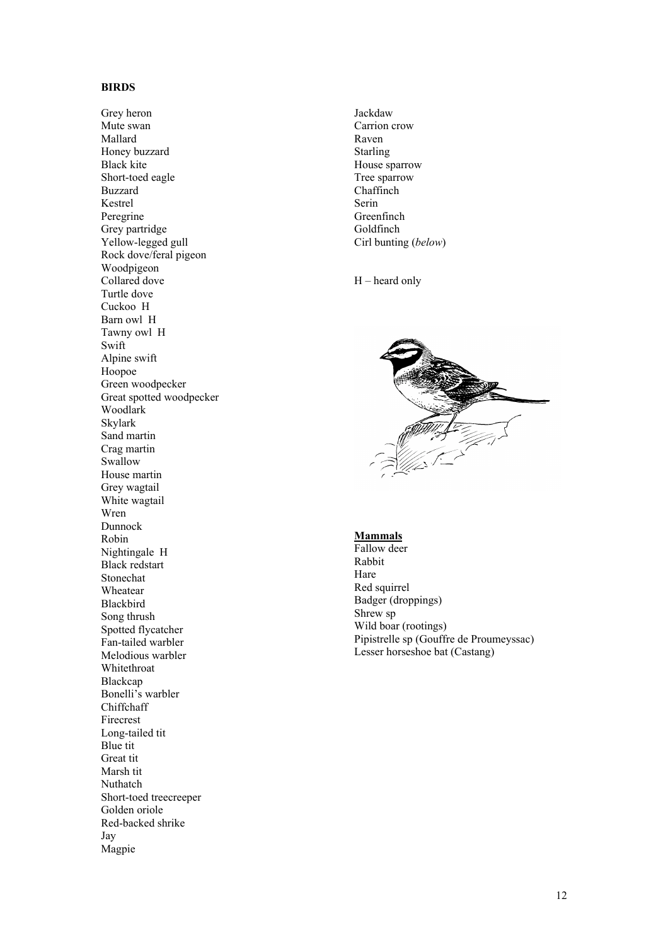# **BIRDS**

Grey heron Mute swan Mallard Honey buzzard Black kite Short-toed eagle Buzzard Kestrel Peregrine Grey partridge Yellow-legged gull Rock dove/feral pigeon Woodpigeon Collared dove Turtle dove Cuckoo H Barn owl H Tawny owl H Swift Alpine swift Hoopoe Green woodpecker Great spotted woodpecker Woodlark Skylark Sand martin Crag martin Swallow House martin Grey wagtail White wagtail Wren Dunnock Robin Nightingale H Black redstart Stonechat Wheatear Blackbird Song thrush Spotted flycatcher Fan-tailed warbler Melodious warbler Whitethroat Blackcap Bonelli's warbler Chiffchaff Firecrest Long-tailed tit Blue tit Great tit Marsh tit Nuthatch Short-toed treecreeper Golden oriole Red-backed shrike Jay Magpie

Jackdaw Carrion crow Raven Starling House sparrow Tree sparrow **Chaffinch** Serin Greenfinch Goldfinch Cirl bunting (*below* )

H – heard only



# **Mammals**

Fallow deer Rabbit Hare Red squirrel Badger (droppings) Shrew sp Wild boar (rootings) Pipistrelle sp (Gouffre de Proumeyssac) Lesser horseshoe bat (Castang)